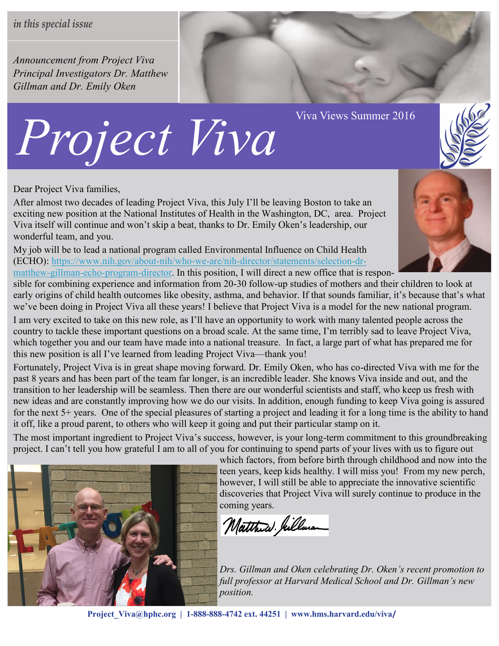*Announcement from Project Viva Principal Investigators Dr. Matthew Gillman and Dr. Emily Oken*

## *Project Viva Viva Views Summer 2016*

Dear Project Viva families,

After almost two decades of leading Project Viva, this July I'll be leaving Boston to take an exciting new position at the National Institutes of Health in the Washington, DC, area. Project Viva itself will continue and won't skip a beat, thanks to Dr. Emily Oken's leadership, our wonderful team, and you.

My job will be to lead a national program called Environmental Influence on Child Health (ECHO): https://www.nih.gov/about-nih/who-we-are/nih-[director/statements/selection](https://www.nih.gov/about-nih/who-we-are/nih-director/statements/selection-dr-matthew-gillman-echo-program-director)-dr[matthew](https://www.nih.gov/about-nih/who-we-are/nih-director/statements/selection-dr-matthew-gillman-echo-program-director)-gillman-echo-program-director. In this position, I will direct a new office that is respon-

sible for combining experience and information from 20-30 follow-up studies of mothers and their children to look at early origins of child health outcomes like obesity, asthma, and behavior. If that sounds familiar, it's because that's what we've been doing in Project Viva all these years! I believe that Project Viva is a model for the new national program.

I am very excited to take on this new role, as I'll have an opportunity to work with many talented people across the country to tackle these important questions on a broad scale. At the same time, I'm terribly sad to leave Project Viva, which together you and our team have made into a national treasure. In fact, a large part of what has prepared me for this new position is all I've learned from leading Project Viva—thank you!

Fortunately, Project Viva is in great shape moving forward. Dr. Emily Oken, who has co-directed Viva with me for the past 8 years and has been part of the team far longer, is an incredible leader. She knows Viva inside and out, and the transition to her leadership will be seamless. Then there are our wonderful scientists and staff, who keep us fresh with new ideas and are constantly improving how we do our visits. In addition, enough funding to keep Viva going is assured for the next 5+ years. One of the special pleasures of starting a project and leading it for a long time is the ability to hand it off, like a proud parent, to others who will keep it going and put their particular stamp on it.

The most important ingredient to Project Viva's success, however, is your long-term commitment to this groundbreaking project. I can't tell you how grateful I am to all of you for continuing to spend parts of your lives with us to figure out

> which factors, from before birth through childhood and now into the teen years, keep kids healthy. I will miss you! From my new perch, however, I will still be able to appreciate the innovative scientific discoveries that Project Viva will surely continue to produce in the coming years.

Matthew . Jullara

*Drs. Gillman and Oken celebrating Dr. Oken's recent promotion to full professor at Harvard Medical School and Dr. Gillman's new position.*